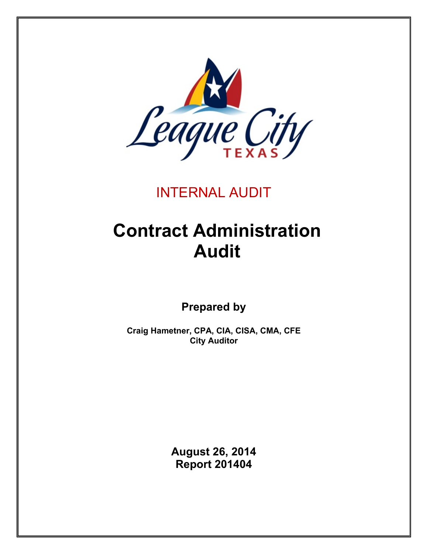

# INTERNAL AUDIT

# **Contract Administration Audit**

**Prepared by**

**Craig Hametner, CPA, CIA, CISA, CMA, CFE City Auditor**

> **August 26, 2014 Report 201404**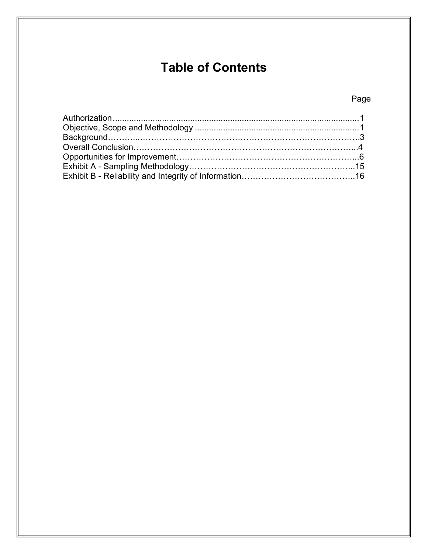# **Table of Contents**

# Page

<span id="page-1-0"></span>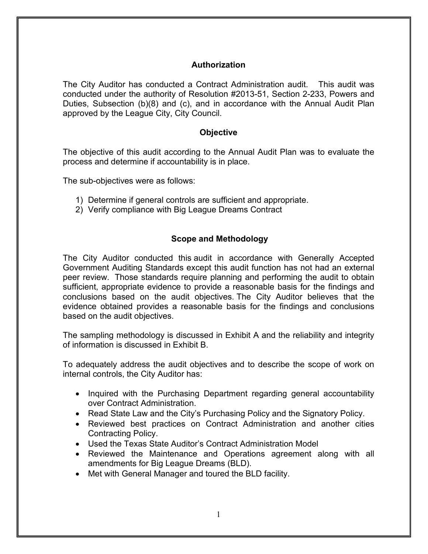### **Authorization**

The City Auditor has conducted a Contract Administration audit. This audit was conducted under the authority of Resolution #2013-51, Section 2-233, Powers and Duties, Subsection (b)(8) and (c), and in accordance with the Annual Audit Plan approved by the League City, City Council.

#### **Objective**

<span id="page-2-0"></span>The objective of this audit according to the Annual Audit Plan was to evaluate the process and determine if accountability is in place.

The sub-objectives were as follows:

- 1) Determine if general controls are sufficient and appropriate.
- 2) Verify compliance with Big League Dreams Contract

#### **Scope and Methodology**

The City Auditor conducted this audit in accordance with Generally Accepted Government Auditing Standards except this audit function has not had an external peer review. Those standards require planning and performing the audit to obtain sufficient, appropriate evidence to provide a reasonable basis for the findings and conclusions based on the audit objectives. The City Auditor believes that the evidence obtained provides a reasonable basis for the findings and conclusions based on the audit objectives.

The sampling methodology is discussed in Exhibit A and the reliability and integrity of information is discussed in Exhibit B.

To adequately address the audit objectives and to describe the scope of work on internal controls, the City Auditor has:

- Inquired with the Purchasing Department regarding general accountability over Contract Administration.
- Read State Law and the City's Purchasing Policy and the Signatory Policy.
- Reviewed best practices on Contract Administration and another cities Contracting Policy.
- Used the Texas State Auditor's Contract Administration Model
- Reviewed the Maintenance and Operations agreement along with all amendments for Big League Dreams (BLD).
- Met with General Manager and toured the BLD facility.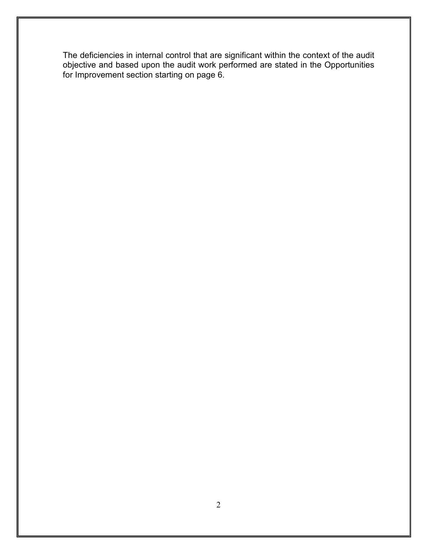The deficiencies in internal control that are significant within the context of the audit objective and based upon the audit work performed are stated in the Opportunities for Improvement section starting on page 6.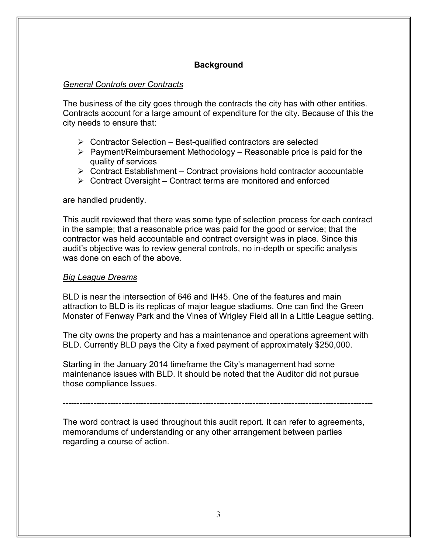# **Background**

#### *General Controls over Contracts*

The business of the city goes through the contracts the city has with other entities. Contracts account for a large amount of expenditure for the city. Because of this the city needs to ensure that:

- $\triangleright$  Contractor Selection Best-qualified contractors are selected
- $\triangleright$  Payment/Reimbursement Methodology Reasonable price is paid for the quality of services
- $\triangleright$  Contract Establishment Contract provisions hold contractor accountable
- $\triangleright$  Contract Oversight Contract terms are monitored and enforced

are handled prudently.

This audit reviewed that there was some type of selection process for each contract in the sample; that a reasonable price was paid for the good or service; that the contractor was held accountable and contract oversight was in place. Since this audit's objective was to review general controls, no in-depth or specific analysis was done on each of the above.

#### *Big League Dreams*

BLD is near the intersection of 646 and IH45. One of the features and main attraction to BLD is its replicas of major league stadiums. One can find the Green Monster of Fenway Park and the Vines of Wrigley Field all in a Little League setting.

The city owns the property and has a maintenance and operations agreement with BLD. Currently BLD pays the City a fixed payment of approximately \$250,000.

Starting in the January 2014 timeframe the City's management had some maintenance issues with BLD. It should be noted that the Auditor did not pursue those compliance Issues.

---------------------------------------------------------------------------------------------------------------

The word contract is used throughout this audit report. It can refer to agreements, memorandums of understanding or any other arrangement between parties regarding a course of action.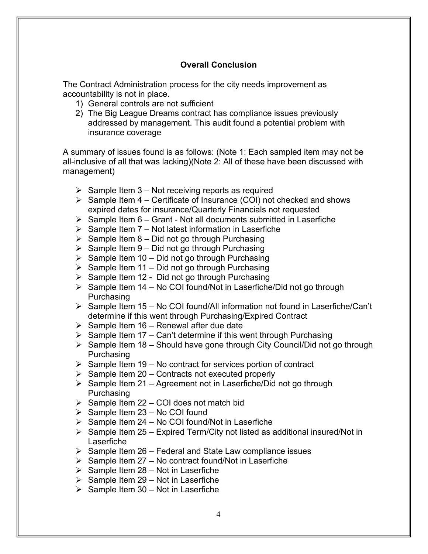# **Overall Conclusion**

The Contract Administration process for the city needs improvement as accountability is not in place.

- 1) General controls are not sufficient
- 2) The Big League Dreams contract has compliance issues previously addressed by management. This audit found a potential problem with insurance coverage

A summary of issues found is as follows: (Note 1: Each sampled item may not be all-inclusive of all that was lacking)(Note 2: All of these have been discussed with management)

- $\triangleright$  Sample Item 3 Not receiving reports as required
- $\triangleright$  Sample Item 4 Certificate of Insurance (COI) not checked and shows expired dates for insurance/Quarterly Financials not requested
- $\triangleright$  Sample Item 6 Grant Not all documents submitted in Laserfiche
- $\triangleright$  Sample Item 7 Not latest information in Laserfiche
- $\triangleright$  Sample Item 8 Did not go through Purchasing
- $\triangleright$  Sample Item 9 Did not go through Purchasing
- $\triangleright$  Sample Item 10 Did not go through Purchasing
- $\triangleright$  Sample Item 11 Did not go through Purchasing
- $\triangleright$  Sample Item 12 Did not go through Purchasing
- $\triangleright$  Sample Item 14 No COI found/Not in Laserfiche/Did not go through Purchasing
- $\triangleright$  Sample Item 15 No COI found/All information not found in Laserfiche/Can't determine if this went through Purchasing/Expired Contract
- $\triangleright$  Sample Item 16 Renewal after due date
- $\triangleright$  Sample Item 17 Can't determine if this went through Purchasing
- $\triangleright$  Sample Item 18 Should have gone through City Council/Did not go through Purchasing
- $\triangleright$  Sample Item 19 No contract for services portion of contract
- $\triangleright$  Sample Item 20 Contracts not executed properly
- $\triangleright$  Sample Item 21 Agreement not in Laserfiche/Did not go through Purchasing
- $\triangleright$  Sample Item 22 COI does not match bid
- $\triangleright$  Sample Item 23 No COI found
- $\triangleright$  Sample Item 24 No COI found/Not in Laserfiche
- $\triangleright$  Sample Item 25 Expired Term/City not listed as additional insured/Not in Laserfiche
- $\triangleright$  Sample Item 26 Federal and State Law compliance issues
- $\triangleright$  Sample Item 27 No contract found/Not in Laserfiche
- $\triangleright$  Sample Item 28 Not in Laserfiche
- $\triangleright$  Sample Item 29 Not in Laserfiche
- $\triangleright$  Sample Item 30 Not in Laserfiche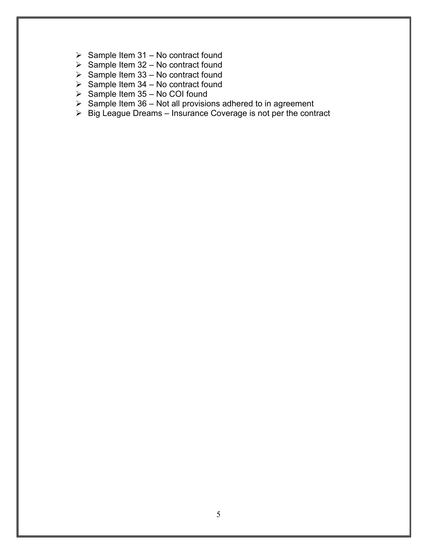- $\triangleright$  Sample Item 31 No contract found
- $\triangleright$  Sample Item 32 No contract found
- $\triangleright$  Sample Item 33 No contract found
- $\triangleright$  Sample Item 34 No contract found
- $\triangleright$  Sample Item 35 No COI found
- $\triangleright$  Sample Item 36 Not all provisions adhered to in agreement
- $\triangleright$  Big League Dreams Insurance Coverage is not per the contract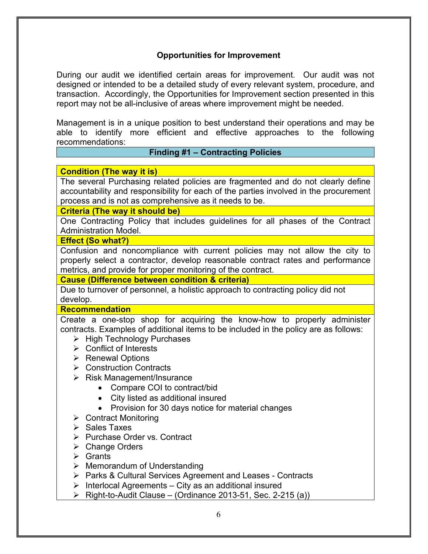# **Opportunities for Improvement**

During our audit we identified certain areas for improvement. Our audit was not designed or intended to be a detailed study of every relevant system, procedure, and transaction. Accordingly, the Opportunities for Improvement section presented in this report may not be all-inclusive of areas where improvement might be needed.

Management is in a unique position to best understand their operations and may be able to identify more efficient and effective approaches to the following recommendations:

#### **Finding #1 – Contracting Policies**

#### **Condition (The way it is)**

The several Purchasing related policies are fragmented and do not clearly define accountability and responsibility for each of the parties involved in the procurement process and is not as comprehensive as it needs to be.

#### **Criteria (The way it should be)**

One Contracting Policy that includes guidelines for all phases of the Contract Administration Model.

#### **Effect (So what?)**

Confusion and noncompliance with current policies may not allow the city to properly select a contractor, develop reasonable contract rates and performance metrics, and provide for proper monitoring of the contract.

#### **Cause (Difference between condition & criteria)**

Due to turnover of personnel, a holistic approach to contracting policy did not develop.

#### **Recommendation**

Create a one-stop shop for acquiring the know-how to properly administer contracts. Examples of additional items to be included in the policy are as follows:

- $\triangleright$  High Technology Purchases
- $\triangleright$  Conflict of Interests
- $\triangleright$  Renewal Options
- **▶ Construction Contracts**
- $\triangleright$  Risk Management/Insurance
	- Compare COI to contract/bid
	- City listed as additional insured
	- Provision for 30 days notice for material changes
- Contract Monitoring
- $\triangleright$  Sales Taxes
- **▶ Purchase Order vs. Contract**
- Change Orders
- $\triangleright$  Grants
- $\triangleright$  Memorandum of Understanding
- ▶ Parks & Cultural Services Agreement and Leases Contracts
- $\triangleright$  Interlocal Agreements City as an additional insured
- $\triangleright$  Right-to-Audit Clause (Ordinance 2013-51, Sec. 2-215 (a))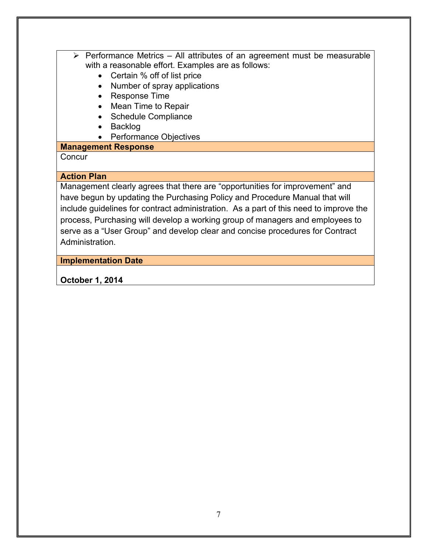- $\triangleright$  Performance Metrics All attributes of an agreement must be measurable with a reasonable effort. Examples are as follows:
	- Certain % off of list price
	- Number of spray applications
	- Response Time
	- Mean Time to Repair
	- Schedule Compliance
	- Backlog
	- Performance Objectives

# **Management Response**

# **Concur**

# **Action Plan**

Management clearly agrees that there are "opportunities for improvement" and have begun by updating the Purchasing Policy and Procedure Manual that will include guidelines for contract administration. As a part of this need to improve the process, Purchasing will develop a working group of managers and employees to serve as a "User Group" and develop clear and concise procedures for Contract Administration.

# **Implementation Date**

# **October 1, 2014**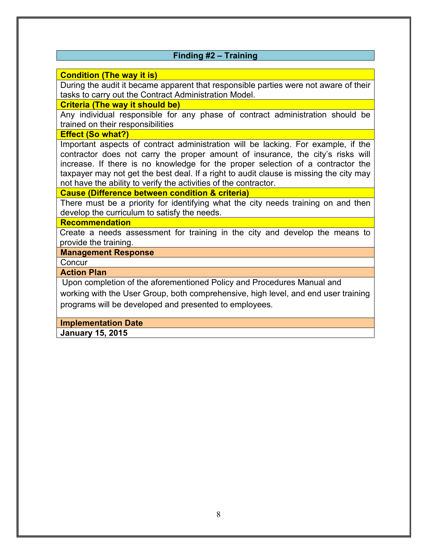# **Finding #2 – Training**

#### **Condition (The way it is)**

During the audit it became apparent that responsible parties were not aware of their tasks to carry out the Contract Administration Model.

#### **Criteria (The way it should be)**

Any individual responsible for any phase of contract administration should be trained on their responsibilities

#### **Effect (So what?)**

Important aspects of contract administration will be lacking. For example, if the contractor does not carry the proper amount of insurance, the city's risks will increase. If there is no knowledge for the proper selection of a contractor the taxpayer may not get the best deal. If a right to audit clause is missing the city may not have the ability to verify the activities of the contractor.

#### **Cause (Difference between condition & criteria)**

There must be a priority for identifying what the city needs training on and then develop the curriculum to satisfy the needs.

#### **Recommendation**

Create a needs assessment for training in the city and develop the means to provide the training.

#### **Management Response**

**Concur** 

#### **Action Plan**

Upon completion of the aforementioned Policy and Procedures Manual and working with the User Group, both comprehensive, high level, and end user training programs will be developed and presented to employees.

#### **Implementation Date**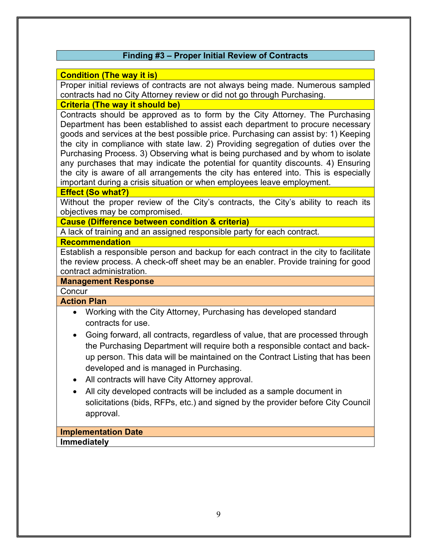# **Finding #3 – Proper Initial Review of Contracts**

#### **Condition (The way it is)**

Proper initial reviews of contracts are not always being made. Numerous sampled contracts had no City Attorney review or did not go through Purchasing.

#### **Criteria (The way it should be)**

Contracts should be approved as to form by the City Attorney. The Purchasing Department has been established to assist each department to procure necessary goods and services at the best possible price. Purchasing can assist by: 1) Keeping the city in compliance with state law. 2) Providing segregation of duties over the Purchasing Process. 3) Observing what is being purchased and by whom to isolate any purchases that may indicate the potential for quantity discounts. 4) Ensuring the city is aware of all arrangements the city has entered into. This is especially important during a crisis situation or when employees leave employment.

#### **Effect (So what?)**

Without the proper review of the City's contracts, the City's ability to reach its objectives may be compromised.

**Cause (Difference between condition & criteria)**

A lack of training and an assigned responsible party for each contract.

#### **Recommendation**

Establish a responsible person and backup for each contract in the city to facilitate the review process. A check-off sheet may be an enabler. Provide training for good contract administration.

#### **Management Response**

**Concur** 

#### **Action Plan**

- Working with the City Attorney, Purchasing has developed standard contracts for use.
- Going forward, all contracts, regardless of value, that are processed through the Purchasing Department will require both a responsible contact and backup person. This data will be maintained on the Contract Listing that has been developed and is managed in Purchasing.
- All contracts will have City Attorney approval.
- All city developed contracts will be included as a sample document in solicitations (bids, RFPs, etc.) and signed by the provider before City Council approval.

# **Implementation Date**

**Immediately**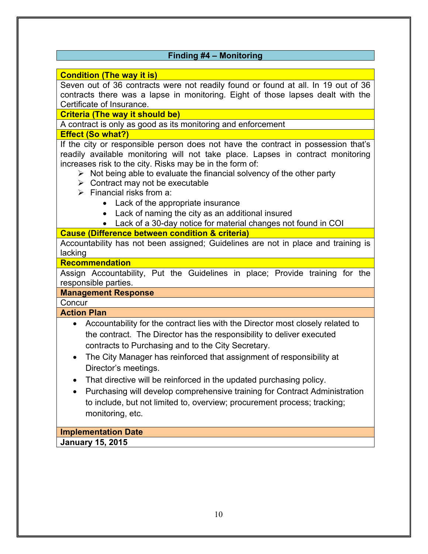# **Finding #4 – Monitoring**

#### **Condition (The way it is)**

Seven out of 36 contracts were not readily found or found at all. In 19 out of 36 contracts there was a lapse in monitoring. Eight of those lapses dealt with the Certificate of Insurance.

**Criteria (The way it should be)**

A contract is only as good as its monitoring and enforcement

#### **Effect (So what?)**

If the city or responsible person does not have the contract in possession that's readily available monitoring will not take place. Lapses in contract monitoring increases risk to the city. Risks may be in the form of:

- $\triangleright$  Not being able to evaluate the financial solvency of the other party
- $\triangleright$  Contract may not be executable
- $\triangleright$  Financial risks from a:
	- Lack of the appropriate insurance
	- Lack of naming the city as an additional insured
	- Lack of a 30-day notice for material changes not found in COI

# **Cause (Difference between condition & criteria)**

Accountability has not been assigned; Guidelines are not in place and training is lacking

#### **Recommendation**

Assign Accountability, Put the Guidelines in place; Provide training for the responsible parties.

#### **Management Response**

**Concur** 

#### **Action Plan**

- Accountability for the contract lies with the Director most closely related to the contract. The Director has the responsibility to deliver executed contracts to Purchasing and to the City Secretary.
- The City Manager has reinforced that assignment of responsibility at Director's meetings.
- That directive will be reinforced in the updated purchasing policy.
- Purchasing will develop comprehensive training for Contract Administration to include, but not limited to, overview; procurement process; tracking; monitoring, etc.

# **Implementation Date**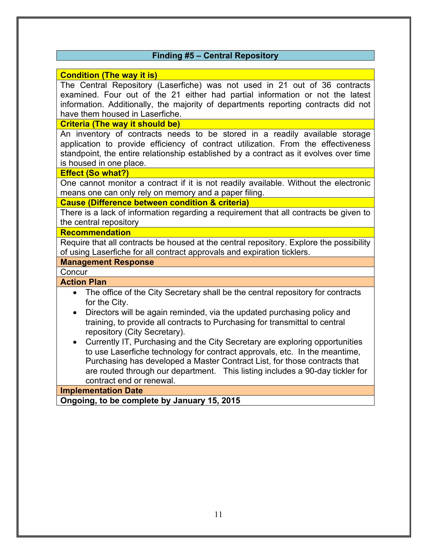# **Finding #5 – Central Repository**

#### **Condition (The way it is)**

The Central Repository (Laserfiche) was not used in 21 out of 36 contracts examined. Four out of the 21 either had partial information or not the latest information. Additionally, the majority of departments reporting contracts did not have them housed in Laserfiche.

#### **Criteria (The way it should be)**

An inventory of contracts needs to be stored in a readily available storage application to provide efficiency of contract utilization. From the effectiveness standpoint, the entire relationship established by a contract as it evolves over time is housed in one place.

#### **Effect (So what?)**

One cannot monitor a contract if it is not readily available. Without the electronic means one can only rely on memory and a paper filing.

#### **Cause (Difference between condition & criteria)**

There is a lack of information regarding a requirement that all contracts be given to the central repository

#### **Recommendation**

Require that all contracts be housed at the central repository. Explore the possibility of using Laserfiche for all contract approvals and expiration ticklers.

#### **Management Response**

#### **Concur**

# **Action Plan**

- The office of the City Secretary shall be the central repository for contracts for the City.
- Directors will be again reminded, via the updated purchasing policy and training, to provide all contracts to Purchasing for transmittal to central repository (City Secretary).
- Currently IT, Purchasing and the City Secretary are exploring opportunities to use Laserfiche technology for contract approvals, etc. In the meantime, Purchasing has developed a Master Contract List, for those contracts that are routed through our department. This listing includes a 90-day tickler for contract end or renewal.

#### **Implementation Date**

**Ongoing, to be complete by January 15, 2015**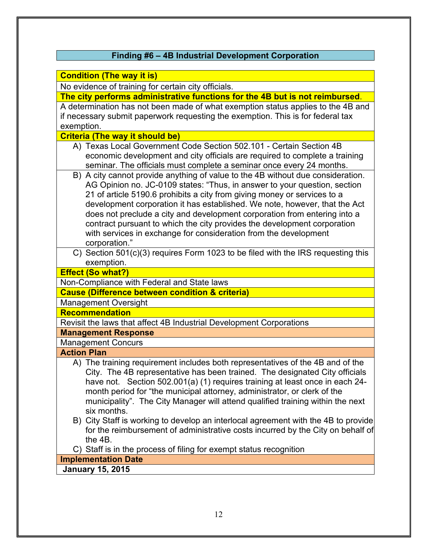# **Finding #6 – 4B Industrial Development Corporation**

#### **Condition (The way it is)**

No evidence of training for certain city officials.

**The city performs administrative functions for the 4B but is not reimbursed**.

A determination has not been made of what exemption status applies to the 4B and if necessary submit paperwork requesting the exemption. This is for federal tax exemption.

**Criteria (The way it should be)**

- A) Texas Local Government Code Section 502.101 Certain Section 4B economic development and city officials are required to complete a training seminar. The officials must complete a seminar once every 24 months.
- B) A city cannot provide anything of value to the 4B without due consideration. AG Opinion no. JC-0109 states: "Thus, in answer to your question, section 21 of article 5190.6 prohibits a city from giving money or services to a development corporation it has established. We note, however, that the Act does not preclude a city and development corporation from entering into a contract pursuant to which the city provides the development corporation with services in exchange for consideration from the development corporation."
- C) Section 501(c)(3) requires Form 1023 to be filed with the IRS requesting this exemption.

**Effect (So what?)**

Non-Compliance with Federal and State laws

**Cause (Difference between condition & criteria)**

Management Oversight

#### **Recommendation**

Revisit the laws that affect 4B Industrial Development Corporations

# **Management Response**

Management Concurs

#### **Action Plan**

- A) The training requirement includes both representatives of the 4B and of the City. The 4B representative has been trained. The designated City officials have not. Section 502.001(a) (1) requires training at least once in each 24 month period for "the municipal attorney, administrator, or clerk of the municipality". The City Manager will attend qualified training within the next six months.
- B) City Staff is working to develop an interlocal agreement with the 4B to provide for the reimbursement of administrative costs incurred by the City on behalf of the 4B.

C) Staff is in the process of filing for exempt status recognition

#### **Implementation Date**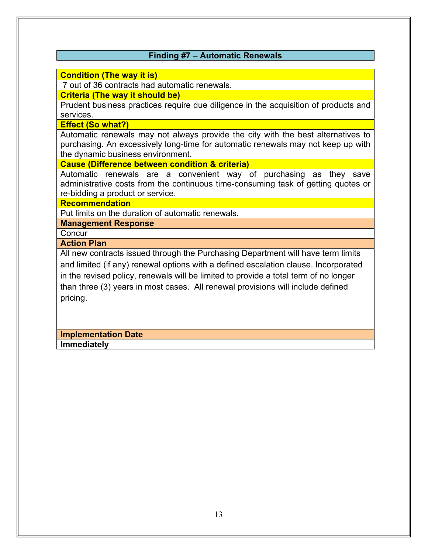# **Finding #7 – Automatic Renewals**

#### **Condition (The way it is)**

7 out of 36 contracts had automatic renewals.

**Criteria (The way it should be)**

Prudent business practices require due diligence in the acquisition of products and services.

#### **Effect (So what?)**

Automatic renewals may not always provide the city with the best alternatives to purchasing. An excessively long-time for automatic renewals may not keep up with the dynamic business environment.

#### **Cause (Difference between condition & criteria)**

Automatic renewals are a convenient way of purchasing as they save administrative costs from the continuous time-consuming task of getting quotes or re-bidding a product or service.

#### **Recommendation**

Put limits on the duration of automatic renewals.

**Management Response**

**Concur** 

**Action Plan**

All new contracts issued through the Purchasing Department will have term limits and limited (if any) renewal options with a defined escalation clause. Incorporated in the revised policy, renewals will be limited to provide a total term of no longer than three (3) years in most cases. All renewal provisions will include defined pricing.

#### **Implementation Date Immediately**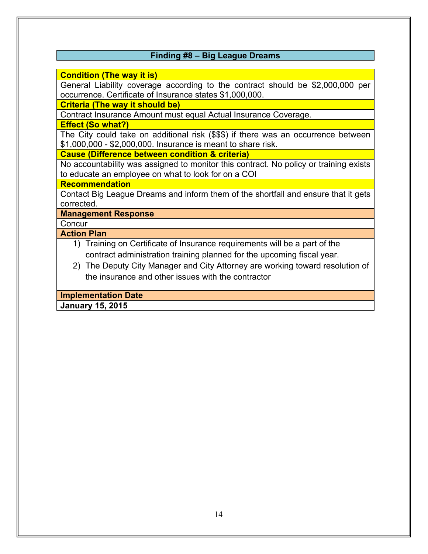# **Finding #8 – Big League Dreams**

#### **Condition (The way it is)**

General Liability coverage according to the contract should be \$2,000,000 per occurrence. Certificate of Insurance states \$1,000,000.

#### **Criteria (The way it should be)**

Contract Insurance Amount must equal Actual Insurance Coverage.

**Effect (So what?)**

The City could take on additional risk (\$\$\$) if there was an occurrence between \$1,000,000 - \$2,000,000. Insurance is meant to share risk.

**Cause (Difference between condition & criteria)**

No accountability was assigned to monitor this contract. No policy or training exists to educate an employee on what to look for on a COI

# **Recommendation**

Contact Big League Dreams and inform them of the shortfall and ensure that it gets corrected.

**Management Response**

**Concur** 

# **Action Plan**

- 1) Training on Certificate of Insurance requirements will be a part of the contract administration training planned for the upcoming fiscal year.
- 2) The Deputy City Manager and City Attorney are working toward resolution of the insurance and other issues with the contractor

#### **Implementation Date**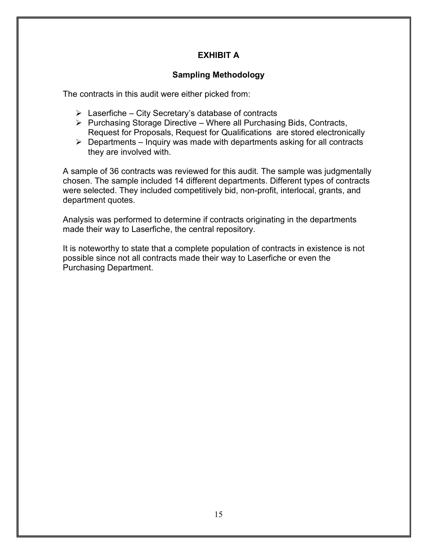# **EXHIBIT A**

# **Sampling Methodology**

The contracts in this audit were either picked from:

- $\triangleright$  Laserfiche City Secretary's database of contracts
- $\triangleright$  Purchasing Storage Directive Where all Purchasing Bids, Contracts, Request for Proposals, Request for Qualifications are stored electronically
- $\triangleright$  Departments Inquiry was made with departments asking for all contracts they are involved with.

A sample of 36 contracts was reviewed for this audit. The sample was judgmentally chosen. The sample included 14 different departments. Different types of contracts were selected. They included competitively bid, non-profit, interlocal, grants, and department quotes.

Analysis was performed to determine if contracts originating in the departments made their way to Laserfiche, the central repository.

It is noteworthy to state that a complete population of contracts in existence is not possible since not all contracts made their way to Laserfiche or even the Purchasing Department.